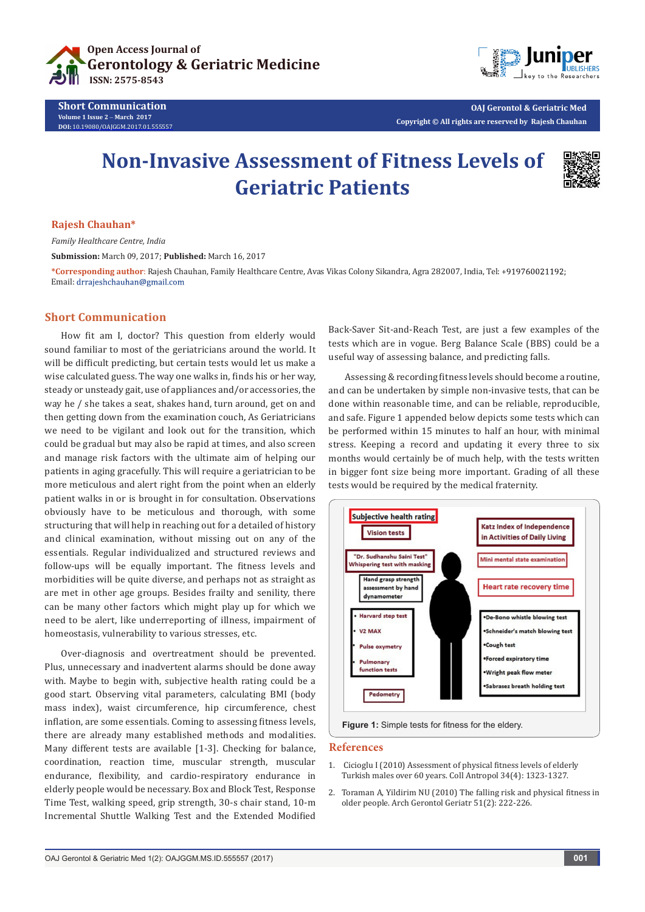

**Short Communication Volume 1 Issue 2** - **March 2017 DOI:** [10.19080/OAJGGM.2017.01.555557](http://dx.doi.org/10.19080/OAJGGM.2017.01.555557
)



**OAJ Gerontol & Geriatric Med Copyright © All rights are reserved by Rajesh Chauhan**

# **Non-Invasive Assessment of Fitness Levels of Geriatric Patients**



#### **Rajesh Chauhan\***

*Family Healthcare Centre, India*

**Submission:** March 09, 2017; **Published:** March 16, 2017

**\*Corresponding author**: Rajesh Chauhan, Family Healthcare Centre, Avas Vikas Colony Sikandra, Agra 282007, India, Tel: Email: drrajeshchauhan@gmail.com

### **Short Communication**

How fit am I, doctor? This question from elderly would sound familiar to most of the geriatricians around the world. It will be difficult predicting, but certain tests would let us make a wise calculated guess. The way one walks in, finds his or her way, steady or unsteady gait, use of appliances and/or accessories, the way he / she takes a seat, shakes hand, turn around, get on and then getting down from the examination couch, As Geriatricians we need to be vigilant and look out for the transition, which could be gradual but may also be rapid at times, and also screen and manage risk factors with the ultimate aim of helping our patients in aging gracefully. This will require a geriatrician to be more meticulous and alert right from the point when an elderly patient walks in or is brought in for consultation. Observations obviously have to be meticulous and thorough, with some structuring that will help in reaching out for a detailed of history and clinical examination, without missing out on any of the essentials. Regular individualized and structured reviews and follow-ups will be equally important. The fitness levels and morbidities will be quite diverse, and perhaps not as straight as are met in other age groups. Besides frailty and senility, there can be many other factors which might play up for which we need to be alert, like underreporting of illness, impairment of homeostasis, vulnerability to various stresses, etc.

Over-diagnosis and overtreatment should be prevented. Plus, unnecessary and inadvertent alarms should be done away with. Maybe to begin with, subjective health rating could be a good start. Observing vital parameters, calculating BMI (body mass index), waist circumference, hip circumference, chest inflation, are some essentials. Coming to assessing fitness levels, there are already many established methods and modalities. Many different tests are available [1-3]. Checking for balance, coordination, reaction time, muscular strength, muscular endurance, flexibility, and cardio-respiratory endurance in elderly people would be necessary. Box and Block Test, Response Time Test, walking speed, grip strength, 30-s chair stand, 10-m Incremental Shuttle Walking Test and the Extended Modified

Back-Saver Sit-and-Reach Test, are just a few examples of the tests which are in vogue. Berg Balance Scale (BBS) could be a useful way of assessing balance, and predicting falls.

Assessing & recording fitness levels should become a routine, and can be undertaken by simple non-invasive tests, that can be done within reasonable time, and can be reliable, reproducible, and safe. Figure 1 appended below depicts some tests which can be performed within 15 minutes to half an hour, with minimal stress. Keeping a record and updating it every three to six months would certainly be of much help, with the tests written in bigger font size being more important. Grading of all these tests would be required by the medical fraternity.



#### **References**

- 1. [Cicioglu I \(2010\) Assessment of physical fitness levels of elderly](https://www.ncbi.nlm.nih.gov/pubmed/21874716)  [Turkish males over 60 years. Coll Antropol 34\(4\): 1323-1327.](https://www.ncbi.nlm.nih.gov/pubmed/21874716)
- 2. [Toraman A, Yildirim NU \(2010\) The falling risk and physical fitness in](https://www.ncbi.nlm.nih.gov/pubmed/19939475)  [older people. Arch Gerontol Geriatr 51\(2\): 222-226.](https://www.ncbi.nlm.nih.gov/pubmed/19939475)